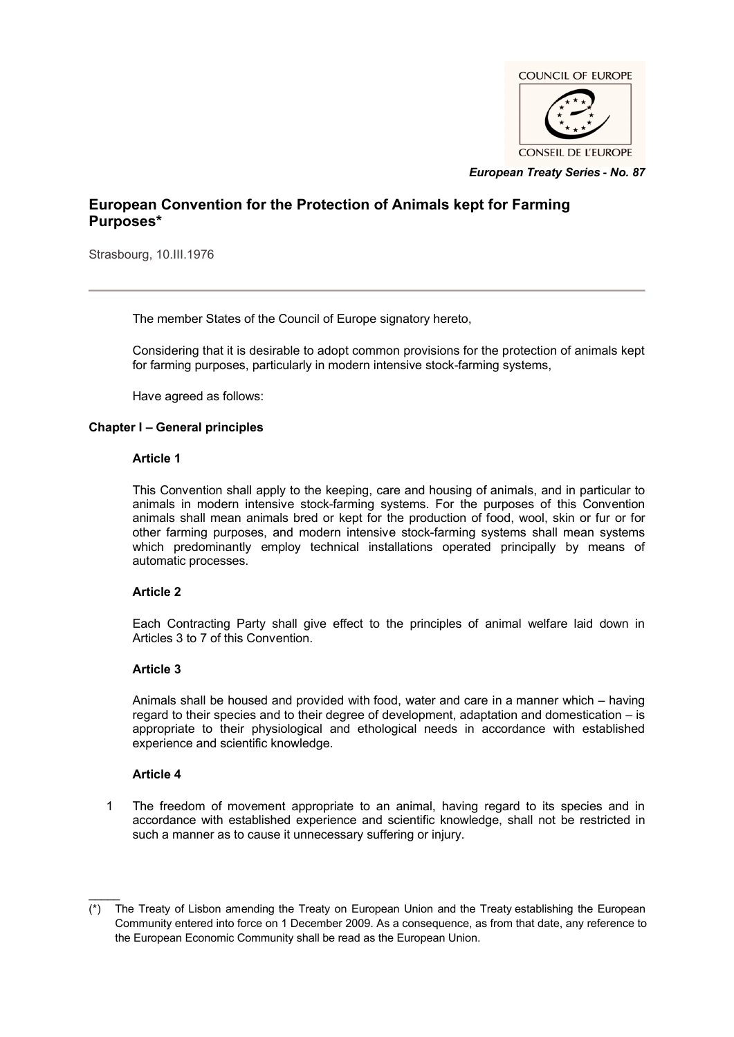

*European Treaty Series* **-** *No. 87*

# **European Convention for the Protection of Animals kept for Farming Purposes\***

Strasbourg, 10.III.1976

The member States of the Council of Europe signatory hereto,

Considering that it is desirable to adopt common provisions for the protection of animals kept for farming purposes, particularly in modern intensive stock-farming systems,

Have agreed as follows:

## **Chapter I – General principles**

### **Article 1**

This Convention shall apply to the keeping, care and housing of animals, and in particular to animals in modern intensive stock-farming systems. For the purposes of this Convention animals shall mean animals bred or kept for the production of food, wool, skin or fur or for other farming purposes, and modern intensive stock-farming systems shall mean systems which predominantly employ technical installations operated principally by means of automatic processes.

### **Article 2**

Each Contracting Party shall give effect to the principles of animal welfare laid down in Articles 3 to 7 of this Convention.

### **Article 3**

Animals shall be housed and provided with food, water and care in a manner which – having regard to their species and to their degree of development, adaptation and domestication – is appropriate to their physiological and ethological needs in accordance with established experience and scientific knowledge.

### **Article 4**

 $\mathcal{L}$ 

1 The freedom of movement appropriate to an animal, having regard to its species and in accordance with established experience and scientific knowledge, shall not be restricted in such a manner as to cause it unnecessary suffering or injury.

<sup>(\*)</sup> The Treaty of Lisbon amending the Treaty on European Union and the Treaty establishing the European Community entered into force on 1 December 2009. As a consequence, as from that date, any reference to the European Economic Community shall be read as the European Union.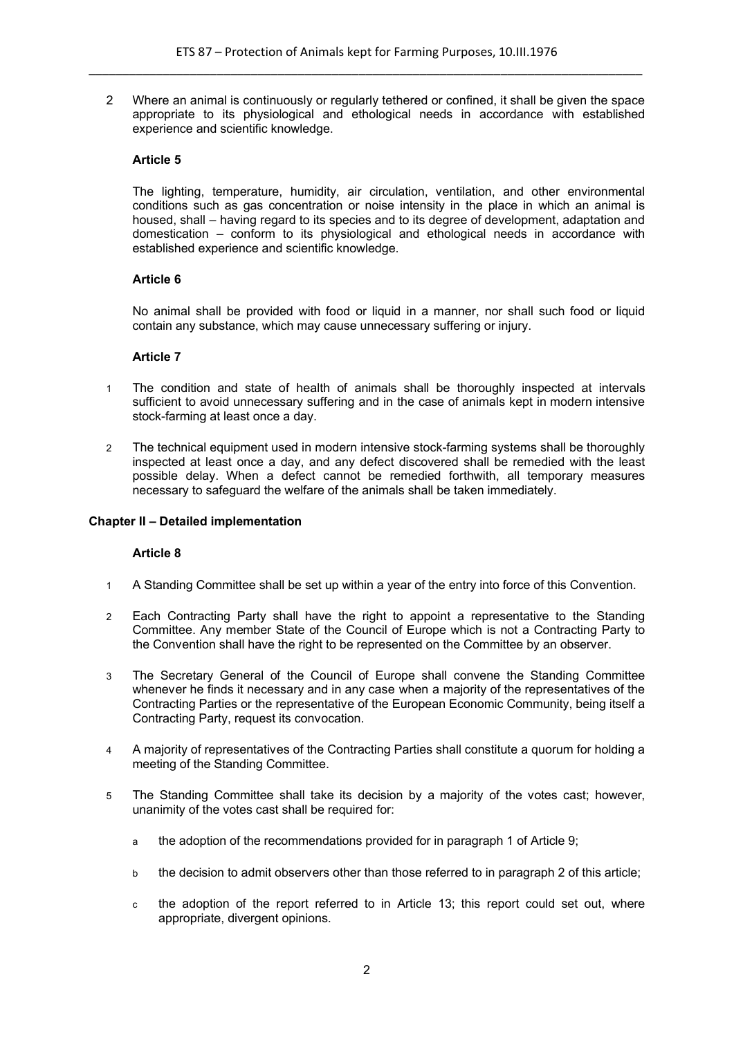2 Where an animal is continuously or regularly tethered or confined, it shall be given the space appropriate to its physiological and ethological needs in accordance with established experience and scientific knowledge.

## **Article 5**

The lighting, temperature, humidity, air circulation, ventilation, and other environmental conditions such as gas concentration or noise intensity in the place in which an animal is housed, shall – having regard to its species and to its degree of development, adaptation and domestication – conform to its physiological and ethological needs in accordance with established experience and scientific knowledge.

### **Article 6**

No animal shall be provided with food or liquid in a manner, nor shall such food or liquid contain any substance, which may cause unnecessary suffering or injury.

### **Article 7**

- 1 The condition and state of health of animals shall be thoroughly inspected at intervals sufficient to avoid unnecessary suffering and in the case of animals kept in modern intensive stock-farming at least once a day.
- 2 The technical equipment used in modern intensive stock-farming systems shall be thoroughly inspected at least once a day, and any defect discovered shall be remedied with the least possible delay. When a defect cannot be remedied forthwith, all temporary measures necessary to safeguard the welfare of the animals shall be taken immediately.

### **Chapter II – Detailed implementation**

### **Article 8**

- 1 A Standing Committee shall be set up within a year of the entry into force of this Convention.
- 2 Each Contracting Party shall have the right to appoint a representative to the Standing Committee. Any member State of the Council of Europe which is not a Contracting Party to the Convention shall have the right to be represented on the Committee by an observer.
- 3 The Secretary General of the Council of Europe shall convene the Standing Committee whenever he finds it necessary and in any case when a majority of the representatives of the Contracting Parties or the representative of the European Economic Community, being itself a Contracting Party, request its convocation.
- 4 A majority of representatives of the Contracting Parties shall constitute a quorum for holding a meeting of the Standing Committee.
- 5 The Standing Committee shall take its decision by a majority of the votes cast; however, unanimity of the votes cast shall be required for:
	- a the adoption of the recommendations provided for in paragraph 1 of Article 9;
	- b the decision to admit observers other than those referred to in paragraph 2 of this article;
	- c the adoption of the report referred to in Article 13; this report could set out, where appropriate, divergent opinions.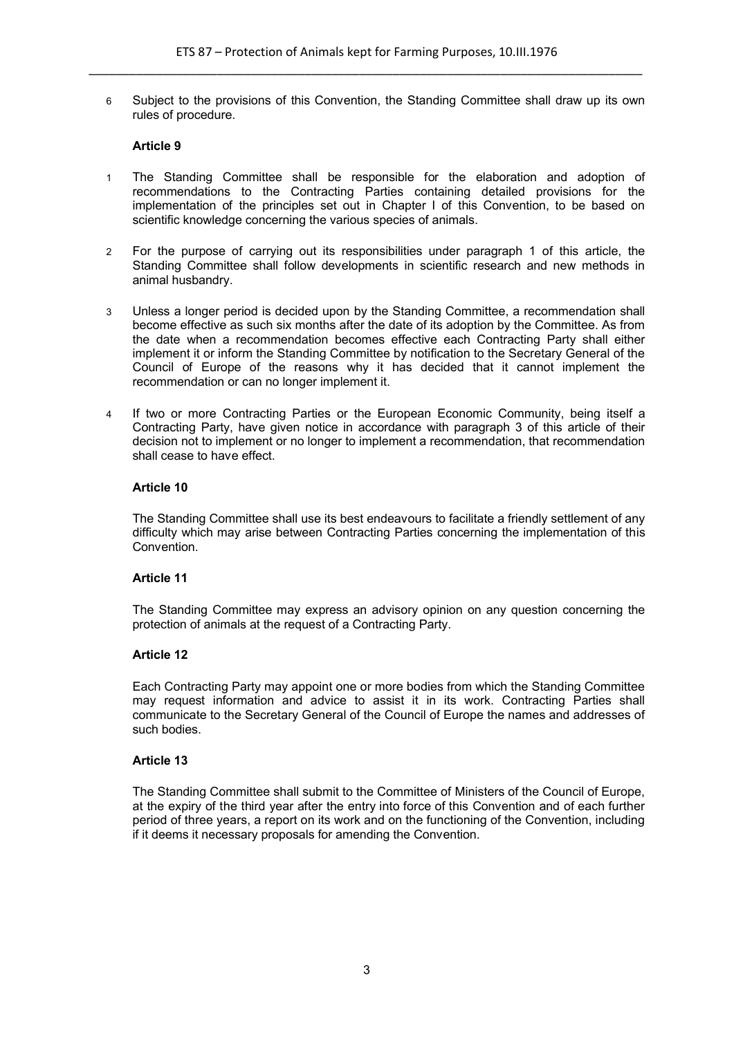6 Subject to the provisions of this Convention, the Standing Committee shall draw up its own rules of procedure.

## **Article 9**

- 1 The Standing Committee shall be responsible for the elaboration and adoption of recommendations to the Contracting Parties containing detailed provisions for the implementation of the principles set out in Chapter I of this Convention, to be based on scientific knowledge concerning the various species of animals.
- 2 For the purpose of carrying out its responsibilities under paragraph 1 of this article, the Standing Committee shall follow developments in scientific research and new methods in animal husbandry.
- 3 Unless a longer period is decided upon by the Standing Committee, a recommendation shall become effective as such six months after the date of its adoption by the Committee. As from the date when a recommendation becomes effective each Contracting Party shall either implement it or inform the Standing Committee by notification to the Secretary General of the Council of Europe of the reasons why it has decided that it cannot implement the recommendation or can no longer implement it.
- 4 If two or more Contracting Parties or the European Economic Community, being itself a Contracting Party, have given notice in accordance with paragraph 3 of this article of their decision not to implement or no longer to implement a recommendation, that recommendation shall cease to have effect.

### **Article 10**

The Standing Committee shall use its best endeavours to facilitate a friendly settlement of any difficulty which may arise between Contracting Parties concerning the implementation of this Convention.

### **Article 11**

The Standing Committee may express an advisory opinion on any question concerning the protection of animals at the request of a Contracting Party.

### **Article 12**

Each Contracting Party may appoint one or more bodies from which the Standing Committee may request information and advice to assist it in its work. Contracting Parties shall communicate to the Secretary General of the Council of Europe the names and addresses of such bodies.

### **Article 13**

The Standing Committee shall submit to the Committee of Ministers of the Council of Europe, at the expiry of the third year after the entry into force of this Convention and of each further period of three years, a report on its work and on the functioning of the Convention, including if it deems it necessary proposals for amending the Convention.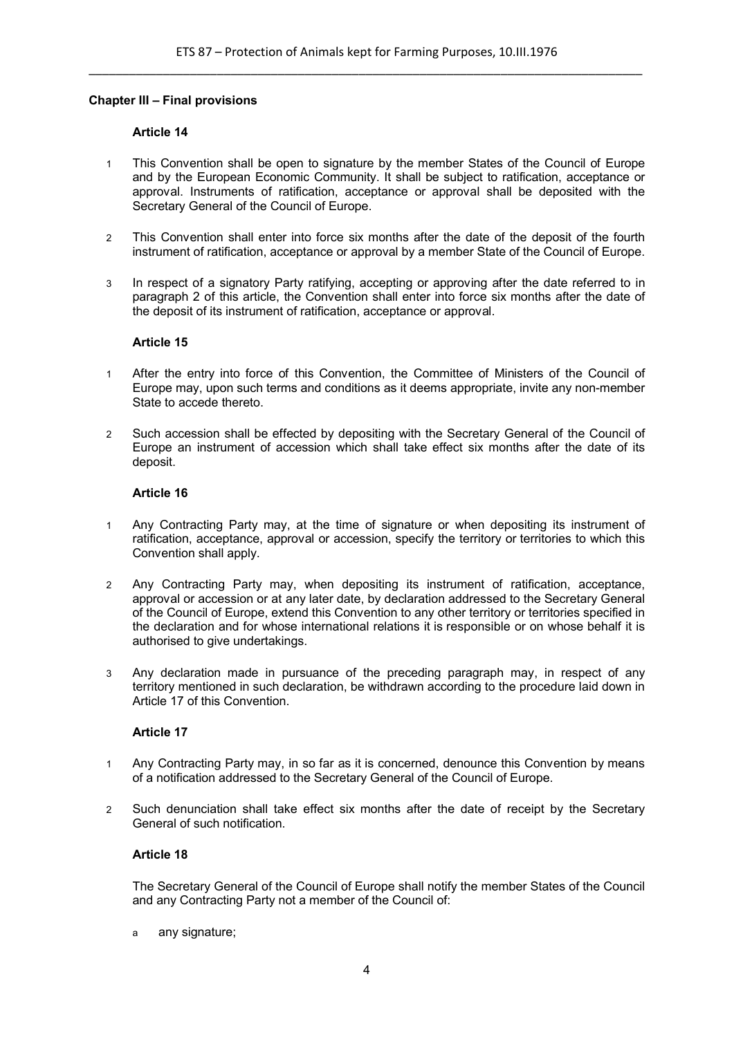### **Chapter III – Final provisions**

#### **Article 14**

- 1 This Convention shall be open to signature by the member States of the Council of Europe and by the European Economic Community. It shall be subject to ratification, acceptance or approval. Instruments of ratification, acceptance or approval shall be deposited with the Secretary General of the Council of Europe.
- 2 This Convention shall enter into force six months after the date of the deposit of the fourth instrument of ratification, acceptance or approval by a member State of the Council of Europe.
- 3 In respect of a signatory Party ratifying, accepting or approving after the date referred to in paragraph 2 of this article, the Convention shall enter into force six months after the date of the deposit of its instrument of ratification, acceptance or approval.

#### **Article 15**

- 1 After the entry into force of this Convention, the Committee of Ministers of the Council of Europe may, upon such terms and conditions as it deems appropriate, invite any non-member State to accede thereto.
- 2 Such accession shall be effected by depositing with the Secretary General of the Council of Europe an instrument of accession which shall take effect six months after the date of its deposit.

#### **Article 16**

- 1 Any Contracting Party may, at the time of signature or when depositing its instrument of ratification, acceptance, approval or accession, specify the territory or territories to which this Convention shall apply.
- 2 Any Contracting Party may, when depositing its instrument of ratification, acceptance, approval or accession or at any later date, by declaration addressed to the Secretary General of the Council of Europe, extend this Convention to any other territory or territories specified in the declaration and for whose international relations it is responsible or on whose behalf it is authorised to give undertakings.
- 3 Any declaration made in pursuance of the preceding paragraph may, in respect of any territory mentioned in such declaration, be withdrawn according to the procedure laid down in Article 17 of this Convention.

### **Article 17**

- 1 Any Contracting Party may, in so far as it is concerned, denounce this Convention by means of a notification addressed to the Secretary General of the Council of Europe.
- 2 Such denunciation shall take effect six months after the date of receipt by the Secretary General of such notification.

### **Article 18**

The Secretary General of the Council of Europe shall notify the member States of the Council and any Contracting Party not a member of the Council of:

a any signature;